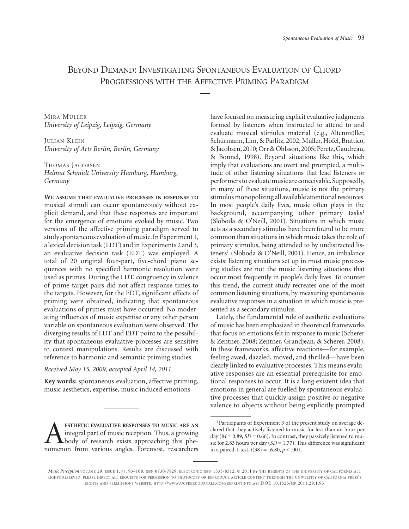# Beyond Demand: Investigating Spontaneous Evaluation of Chord PROGRESSIONS WITH THE AFFECTIVE PRIMING PARADIGM

Mira Müller *University of Leipzig, Leipzig, Germany*

Julian Klein *University of Arts Berlin, Berlin, Germany*

Thomas Jacobsen *Helmut Schmidt University Hamburg, Hamburg, Germany*

**We assume that evaluative processes in response to** musical stimuli can occur spontaneously without explicit demand, and that these responses are important for the emergence of emotions evoked by music. Two versions of the affective priming paradigm served to study spontaneous evaluation of music. In Experiment 1, a lexical decision task (LDT) and in Experiments 2 and 3, an evaluative decision task (EDT) was employed. A total of 20 original four-part, five-chord piano sequences with no specified harmonic resolution were used as primes. During the LDT, congruency in valence of prime-target pairs did not affect response times to the targets. However, for the EDT, significant effects of priming were obtained, indicating that spontaneous evaluations of primes must have occurred. No moderating influences of music expertise or any other person variable on spontaneous evaluation were observed. The diverging results of LDT and EDT point to the possibility that spontaneous evaluative processes are sensitive to context manipulations. Results are discussed with reference to harmonic and semantic priming studies.

*Received May 15, 2009, accepted April 14, 2011.*

**Key words:** spontaneous evaluation, affective priming, music aesthetics, expertise, music induced emotions

**A** ESTHETIC EVALUATIVE RESPONSES TO MUSIC ARE AN integral part of music reception. Thus, a growing<br>body of research exists approaching this phe-<br>nomenon from various angles Foremost, researchers integral part of music reception. Thus, a growing body of research exists approaching this phenomenon from various angles. Foremost, researchers

have focused on measuring explicit evaluative judgments formed by listeners when instructed to attend to and evaluate musical stimulus material (e.g., Altenmüller, Schürmann, Lim, & Parlitz, 2002; Müller, Höfel, Brattico, & Jacobsen, 2010; Orr & Ohlsson, 2005; Peretz, Gaudreau, & Bonnel, 1998). Beyond situations like this, which imply that evaluations are overt and prompted, a multitude of other listening situations that lead listeners or performers to evaluate music are conceivable. Supposedly, in many of these situations, music is not the primary stimulus monopolizing all available attentional resources. In most people's daily lives, music often plays in the background, accompanying other primary tasks<sup>1</sup> (Sloboda & O'Neill, 2001). Situations in which music acts as a secondary stimulus have been found to be more common than situations in which music takes the role of primary stimulus, being attended to by undistracted listeners<sup>1</sup> (Sloboda & O'Neill, 2001). Hence, an imbalance exists: listening situations set up in most music processing studies are not the music listening situations that occur most frequently in people's daily lives. To counter this trend, the current study recreates one of the most common listening situations, by measuring spontaneous evaluative responses in a situation in which music is presented as a secondary stimulus.

Lately, the fundamental role of aesthetic evaluations of music has been emphasized in theoretical frameworks that focus on emotions felt in response to music (Scherer & Zentner, 2008; Zentner, Grandjean, & Scherer, 2008). In these frameworks, affective reactions—for example, feeling awed, dazzled, moved, and thrilled—have been clearly linked to evaluative processes. This means evaluative responses are an essential prerequisite for emotional responses to occur. It is a long existent idea that emotions in general are fuelled by spontaneous evaluative processes that quickly assign positive or negative valence to objects without being explicitly prompted

<sup>&</sup>lt;sup>1</sup> Participants of Experiment 3 of the present study on average declared that they actively listened to music for less than an hour per day  $(M = 0.89, SD = 0.66)$ . In contrast, they passively listened to music for 2.83 hours per day (*SD* = 1.77). This difference was significant in a paired-t-test,  $t(38) = -6.80, p < .001$ .

*Music Perception* VOLUME 29, ISSUE 1, PP. 93-108, ISSN 0730-7829, ELECTRONIC ISSN 1533-8312. © 2011 BY THE REGENTS OF THE UNIVERSITY OF CALIFORNIA ALL rights reserved. please direct all requests for permission to photocopy or reproduce article content through the university of california press's rights and permissions website, http://www.ucpressjournals.com/reprintinfo.asp.DOI: 10.1525/mp.2011.29.1.93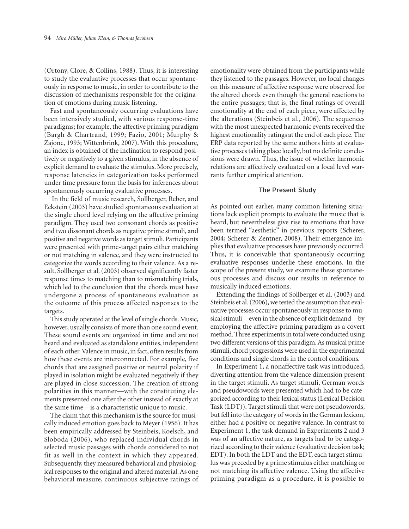(Ortony, Clore, & Collins, 1988). Thus, it is interesting to study the evaluative processes that occur spontaneously in response to music, in order to contribute to the discussion of mechanisms responsible for the origination of emotions during music listening.

Fast and spontaneously occurring evaluations have been intensively studied, with various response-time paradigms; for example, the affective priming paradigm (Bargh & Chartrand, 1999; Fazio, 2001; Murphy & Zajonc, 1993; Wittenbrink, 2007). With this procedure, an index is obtained of the inclination to respond positively or negatively to a given stimulus, in the absence of explicit demand to evaluate the stimulus. More precisely, response latencies in categorization tasks performed under time pressure form the basis for inferences about spontaneously occurring evaluative processes.

 In the field of music research, Sollberger, Reber, and Eckstein (2003) have studied spontaneous evaluation at the single chord level relying on the affective priming paradigm. They used two consonant chords as positive and two dissonant chords as negative prime stimuli, and positive and negative words as target stimuli. Participants were presented with prime-target pairs either matching or not matching in valence, and they were instructed to categorize the words according to their valence. As a result, Sollberger et al. (2003) observed significantly faster response times to matching than to mismatching trials, which led to the conclusion that the chords must have undergone a process of spontaneous evaluation as the outcome of this process affected responses to the targets.

This study operated at the level of single chords. Music, however, usually consists of more than one sound event. These sound events are organized in time and are not heard and evaluated as standalone entities, independent of each other. Valence in music, in fact, often results from how these events are interconnected. For example, five chords that are assigned positive or neutral polarity if played in isolation might be evaluated negatively if they are played in close succession. The creation of strong polarities in this manner—with the constituting elements presented one after the other instead of exactly at the same time—is a characteristic unique to music.

The claim that this mechanism is the source for musically induced emotion goes back to Meyer (1956). It has been empirically addressed by Steinbeis, Koelsch, and Sloboda (2006), who replaced individual chords in selected music passages with chords considered to not fit as well in the context in which they appeared. Subsequently, they measured behavioral and physiological responses to the original and altered material. As one behavioral measure, continuous subjective ratings of

emotionality were obtained from the participants while they listened to the passages. However, no local changes on this measure of affective response were observed for the altered chords even though the general reactions to the entire passages; that is, the final ratings of overall emotionality at the end of each piece, were affected by the alterations (Steinbeis et al., 2006). The sequences with the most unexpected harmonic events received the highest emotionality ratings at the end of each piece. The ERP data reported by the same authors hints at evaluative processes taking place locally, but no definite conclusions were drawn. Thus, the issue of whether harmonic relations are affectively evaluated on a local level warrants further empirical attention.

#### The Present Study

As pointed out earlier, many common listening situations lack explicit prompts to evaluate the music that is heard, but nevertheless give rise to emotions that have been termed "aesthetic" in previous reports (Scherer, 2004; Scherer & Zentner, 2008). Their emergence implies that evaluative processes have previously occurred. Thus, it is conceivable that spontaneously occurring evaluative responses underlie these emotions. In the scope of the present study, we examine these spontaneous processes and discuss our results in reference to musically induced emotions.

Extending the findings of Sollberger et al. (2003) and Steinbeis et al. (2006), we tested the assumption that evaluative processes occur spontaneously in response to musical stimuli—even in the absence of explicit demand—by employing the affective priming paradigm as a covert method. Three experiments in total were conducted using two different versions of this paradigm. As musical prime stimuli, chord progressions were used in the experimental conditions and single chords in the control conditions.

In Experiment 1, a nonaffective task was introduced, diverting attention from the valence dimension present in the target stimuli. As target stimuli, German words and pseudowords were presented which had to be categorized according to their lexical status (Lexical Decision Task (LDT)). Target stimuli that were not pseudowords, but fell into the category of words in the German lexicon, either had a positive or negative valence. In contrast to Experiment 1, the task demand in Experiments 2 and 3 was of an affective nature, as targets had to be categorized according to their valence (evaluative decision task; EDT). In both the LDT and the EDT, each target stimulus was preceded by a prime stimulus either matching or not matching its affective valence. Using the affective priming paradigm as a procedure, it is possible to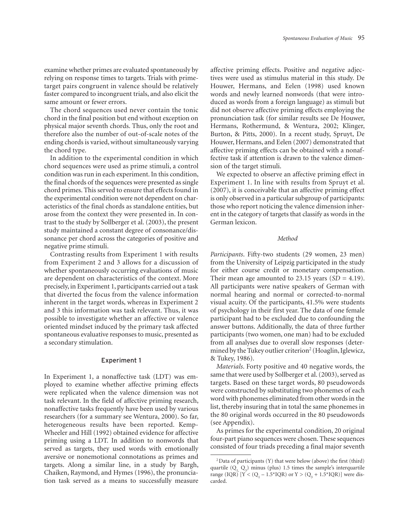examine whether primes are evaluated spontaneously by relying on response times to targets. Trials with primetarget pairs congruent in valence should be relatively faster compared to incongruent trials, and also elicit the same amount or fewer errors.

The chord sequences used never contain the tonic chord in the final position but end without exception on physical major seventh chords. Thus, only the root and therefore also the number of out-of-scale notes of the ending chords is varied, without simultaneously varying the chord type.

In addition to the experimental condition in which chord sequences were used as prime stimuli, a control condition was run in each experiment. In this condition, the final chords of the sequences were presented as single chord primes. This served to ensure that effects found in the experimental condition were not dependent on characteristics of the final chords as standalone entities, but arose from the context they were presented in. In contrast to the study by Sollberger et al. (2003), the present study maintained a constant degree of consonance/dissonance per chord across the categories of positive and negative prime stimuli.

Contrasting results from Experiment 1 with results from Experiment 2 and 3 allows for a discussion of whether spontaneously occurring evaluations of music are dependent on characteristics of the context. More precisely, in Experiment 1, participants carried out a task that diverted the focus from the valence information inherent in the target words, whereas in Experiment 2 and 3 this information was task relevant. Thus, it was possible to investigate whether an affective or valence oriented mindset induced by the primary task affected spontaneous evaluative responses to music, presented as a secondary stimulation.

# Experiment 1

In Experiment 1, a nonaffective task (LDT) was employed to examine whether affective priming effects were replicated when the valence dimension was not task relevant. In the field of affective priming research, nonaffective tasks frequently have been used by various researchers (for a summary see Wentura, 2000). So far, heterogeneous results have been reported. Kemp-Wheeler and Hill (1992) obtained evidence for affective priming using a LDT. In addition to nonwords that served as targets, they used words with emotionally aversive or nonemotional connotations as primes and targets. Along a similar line, in a study by Bargh, Chaiken, Raymond, and Hymes (1996), the pronunciation task served as a means to successfully measure

affective priming effects. Positive and negative adjectives were used as stimulus material in this study. De Houwer, Hermans, and Eelen (1998) used known words and newly learned nonwords (that were introduced as words from a foreign language) as stimuli but did not observe affective priming effects employing the pronunciation task (for similar results see De Houwer, Hermans, Rothermund, & Wentura, 2002; Klinger, Burton, & Pitts, 2000). In a recent study, Spruyt, De Houwer, Hermans, and Eelen (2007) demonstrated that affective priming effects can be obtained with a nonaffective task if attention is drawn to the valence dimension of the target stimuli.

We expected to observe an affective priming effect in Experiment 1. In line with results from Spruyt et al. (2007), it is conceivable that an affective priming effect is only observed in a particular subgroup of participants: those who report noticing the valence dimension inherent in the category of targets that classify as words in the German lexicon.

# *Method*

*Participants*. Fifty-two students (29 women, 23 men) from the University of Leipzig participated in the study for either course credit or monetary compensation. Their mean age amounted to 23.15 years  $(SD = 4.19)$ . All participants were native speakers of German with normal hearing and normal or corrected-to-normal visual acuity. Of the participants, 41.5% were students of psychology in their first year. The data of one female participant had to be excluded due to confounding the answer buttons. Additionally, the data of three further participants (two women, one man) had to be excluded from all analyses due to overall slow responses (determined by the Tukey outlier criterion<sup>2</sup> (Hoaglin, Iglewicz, & Tukey, 1986).

*Materials*. Forty positive and 40 negative words, the same that were used by Sollberger et al. (2003), served as targets. Based on these target words, 80 pseudowords were constructed by substituting two phonemes of each word with phonemes eliminated from other words in the list, thereby insuring that in total the same phonemes in the 80 original words occurred in the 80 pseudowords (see Appendix).

As primes for the experimental condition, 20 original four-part piano sequences were chosen. These sequences consisted of four triads preceding a final major seventh

 $2$ Data of participants (Y) that were below (above) the first (third) quartile  $(Q_{1,} Q_{3})$  minus (plus) 1.5 times the sample's interquartile range (IQR) [Y <  $(Q_1 - 1.5 \times IQR)$  or  $Y > (Q_3 + 1.5 \times IQR)$ ] were discarded.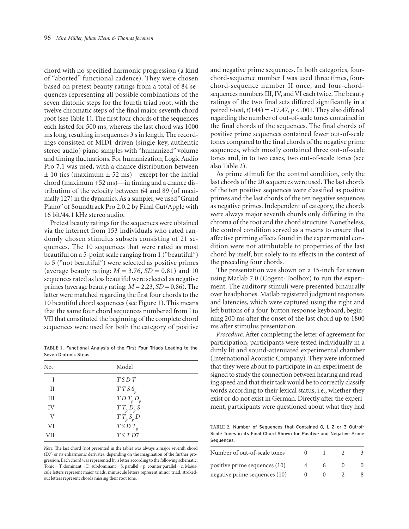chord with no specified harmonic progression (a kind of "aborted" functional cadence). They were chosen based on pretest beauty ratings from a total of 84 sequences representing all possible combinations of the seven diatonic steps for the fourth triad root, with the twelve chromatic steps of the final major seventh chord root (see Table 1). The first four chords of the sequences each lasted for 500 ms, whereas the last chord was 1000 ms long, resulting in sequences 3 s in length. The recordings consisted of MIDI-driven (single-key, authentic stereo audio) piano samples with "humanized" volume and timing fluctuations. For humanization, Logic Audio Pro 7.1 was used, with a chance distribution between  $\pm$  10 tics (maximum  $\pm$  52 ms)—except for the initial chord (maximum +52 ms)—in timing and a chance distribution of the velocity between 64 and 89 (of maximally 127) in the dynamics. As a sampler, we used "Grand Piano" of Soundtrack Pro 2.0.2 by Final Cut/Apple with 16 bit/44.1 kHz stereo audio.

Pretest beauty ratings for the sequences were obtained via the internet from 153 individuals who rated randomly chosen stimulus subsets consisting of 21 sequences. The 10 sequences that were rated as most beautiful on a 5-point scale ranging from 1 ("beautiful") to 5 ("not beautiful") were selected as positive primes (average beauty rating:  $M = 3.76$ ,  $SD = 0.81$ ) and 10 sequences rated as less beautiful were selected as negative primes (average beauty rating:  $M = 2.23$ ,  $SD = 0.86$ ). The latter were matched regarding the first four chords to the 10 beautiful chord sequences (see Figure 1). This means that the same four chord sequences numbered from I to VII that constituted the beginning of the complete chord sequences were used for both the category of positive

**TABLE 1.** Functional Analysis of the First Four Triads Leading to the Seven Diatonic Steps.

| No. | Model                             |  |
|-----|-----------------------------------|--|
|     | TSDT                              |  |
| П   | $T T S S_p$                       |  |
| Ш   | $T D T_p D_p$<br>p                |  |
| IV  | $T\ T_p\ D_p\ S$<br>$\mathcal{P}$ |  |
| V   | $T T_p S_p D$                     |  |
| VI  | $TSDT_p$                          |  |
| VII | TSTD7                             |  |

*Note*: The last chord (not presented in the table) was always a major seventh chord (D7) or its enharmonic derivates, depending on the imagination of the further progression. Each chord was represented by a letter according to the following schematic: Tonic = T, dominant = D, subdominant = S, parallel = p, counter parallel = c. Majuscule letters represent major triads, minuscule letters represent minor triad, strokedout letters represent chords missing their root tone.

and negative prime sequences. In both categories, fourchord-sequence number I was used three times, fourchord-sequence number II once, and four-chordsequences numbers III, IV, and VI each twice. The beauty ratings of the two final sets differed significantly in a paired *t*-test, *t*(144) = -17.47, *p* < .001. They also differed regarding the number of out-of-scale tones contained in the final chords of the sequences. The final chords of positive prime sequences contained fewer out-of-scale tones compared to the final chords of the negative prime sequences, which mostly contained three out-of-scale tones and, in to two cases, two out-of-scale tones (see also Table 2).

As prime stimuli for the control condition, only the last chords of the 20 sequences were used. The last chords of the ten positive sequences were classified as positive primes and the last chords of the ten negative sequences as negative primes. Independent of category, the chords were always major seventh chords only differing in the chroma of the root and the chord structure. Nonetheless, the control condition served as a means to ensure that affective priming effects found in the experimental condition were not attributable to properties of the last chord by itself, but solely to its effects in the context of the preceding four chords.

The presentation was shown on a 15-inch flat screen using Matlab 7.0 (Cogent-Toolbox) to run the experiment. The auditory stimuli were presented binaurally over headphones. Matlab registered judgment responses and latencies, which were captured using the right and left buttons of a four-button response keyboard, beginning 200 ms after the onset of the last chord up to 1800 ms after stimulus presentation.

*Procedure*. After completing the letter of agreement for participation, participants were tested individually in a dimly lit and sound-attenuated experimental chamber (International Acoustic Company). They were informed that they were about to participate in an experiment designed to study the connection between hearing and reading speed and that their task would be to correctly classify words according to their lexical status, i.e., whether they exist or do not exist in German. Directly after the experiment, participants were questioned about what they had

**TABLE 2.** Number of Sequences that Contained 0, 1, 2 or 3 Out-of-Scale Tones in its Final Chord Shown for Positive and Negative Prime Sequences.

| Number of out-of-scale tones  | $\mathbf{\Omega}$ |  |  |
|-------------------------------|-------------------|--|--|
| positive prime sequences (10) |                   |  |  |
| negative prime sequences (10) |                   |  |  |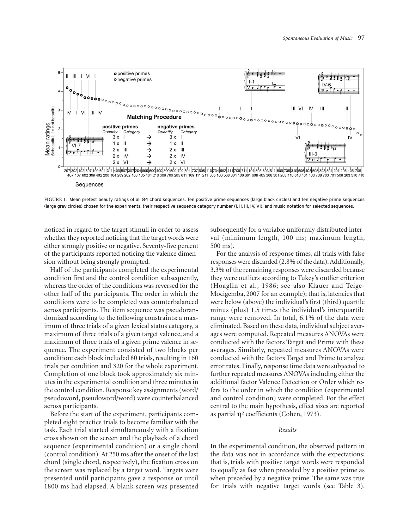

Sequences

**FIGURE 1.** Mean pretest beauty ratings of all 84 chord sequences. Ten positive prime sequences (large black circles) and ten negative prime sequences (large gray circles) chosen for the experiments, their respective sequence category number (I, II, III, IV, VI), and music notation for selected sequences.

noticed in regard to the target stimuli in order to assess whether they reported noticing that the target words were either strongly positive or negative. Seventy-five percent of the participants reported noticing the valence dimension without being strongly prompted.

Half of the participants completed the experimental condition first and the control condition subsequently, whereas the order of the conditions was reversed for the other half of the participants. The order in which the conditions were to be completed was counterbalanced across participants. The item sequence was pseudorandomized according to the following constraints: a maximum of three trials of a given lexical status category, a maximum of three trials of a given target valence, and a maximum of three trials of a given prime valence in sequence. The experiment consisted of two blocks per condition: each block included 80 trials, resulting in 160 trials per condition and 320 for the whole experiment. Completion of one block took approximately six minutes in the experimental condition and three minutes in the control condition. Response key assignments (word/ pseudoword, pseudoword/word) were counterbalanced across participants.

Before the start of the experiment, participants completed eight practice trials to become familiar with the task. Each trial started simultaneously with a fixation cross shown on the screen and the playback of a chord sequence (experimental condition) or a single chord (control condition). At 250 ms after the onset of the last chord (single chord, respectively), the fixation cross on the screen was replaced by a target word. Targets were presented until participants gave a response or until 1800 ms had elapsed. A blank screen was presented

subsequently for a variable uniformly distributed interval (minimum length, 100 ms; maximum length, 500 ms).

For the analysis of response times, all trials with false responses were discarded (2.8% of the data). Additionally, 3.3% of the remaining responses were discarded because they were outliers according to Tukey's outlier criterion (Hoaglin et al., 1986; see also Klauer and Teige-Mocigemba, 2007 for an example); that is, latencies that were below (above) the individual's first (third) quartile minus (plus) 1.5 times the individual's interquartile range were removed. In total, 6.1% of the data were eliminated. Based on these data, individual subject averages were computed. Repeated measures ANOVAs were conducted with the factors Target and Prime with these averages. Similarly, repeated measures ANOVAs were conducted with the factors Target and Prime to analyze error rates. Finally, response time data were subjected to further repeated measures ANOVAs including either the additional factor Valence Detection or Order which refers to the order in which the condition (experimental and control condition) were completed. For the effect central to the main hypothesis, effect sizes are reported as partial  $η²$  coefficients (Cohen, 1973).

## *Results*

In the experimental condition, the observed pattern in the data was not in accordance with the expectations; that is, trials with positive target words were responded to equally as fast when preceded by a positive prime as when preceded by a negative prime. The same was true for trials with negative target words (see Table 3).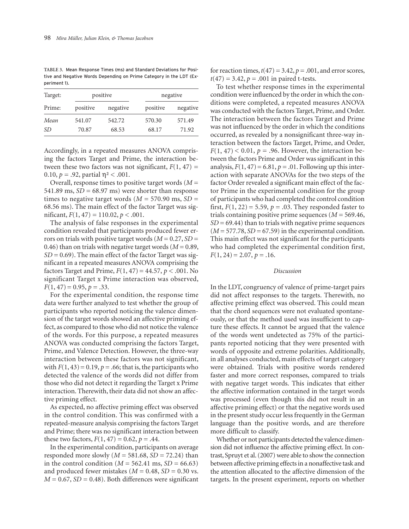**TABLE 3.** Mean Response Times (ms) and Standard Deviations for Positive and Negative Words Depending on Prime Category in the LDT (Experiment 1).

| Target: |          | positive | negative |          |  |
|---------|----------|----------|----------|----------|--|
| Prime:  | positive | negative | positive | negative |  |
| Mean    | 541.07   | 542.72   | 570.30   | 571.49   |  |
| SD      | 70.87    | 68.53    | 68.17    | 71.92    |  |

Accordingly, in a repeated measures ANOVA comprising the factors Target and Prime, the interaction between these two factors was not significant,  $F(1, 47) =$ 0.10,  $p = .92$ , partial  $\eta^2 < .001$ .

Overall, response times to positive target words (*M* = 541.89 ms,  $SD = 68.97$  ms) were shorter than response times to negative target words ( $M = 570.90$  ms,  $SD =$ 68.56 ms). The main effect of the factor Target was significant,  $F(1, 47) = 110.02, p < .001$ .

The analysis of false responses in the experimental condition revealed that participants produced fewer errors on trials with positive target words ( $M = 0.27$ ,  $SD =$ 0.46) than on trials with negative target words  $(M = 0.89,$  $SD = 0.69$ ). The main effect of the factor Target was significant in a repeated measures ANOVA comprising the factors Target and Prime,  $F(1, 47) = 44.57$ ,  $p < .001$ . No significant Target x Prime interaction was observed,  $F(1, 47) = 0.95, p = .33.$ 

For the experimental condition, the response time data were further analyzed to test whether the group of participants who reported noticing the valence dimension of the target words showed an affective priming effect, as compared to those who did not notice the valence of the words. For this purpose, a repeated measures ANOVA was conducted comprising the factors Target, Prime, and Valence Detection. However, the three-way interaction between these factors was not significant, with  $F(1, 43) = 0.19$ ,  $p = .66$ ; that is, the participants who detected the valence of the words did not differ from those who did not detect it regarding the Target x Prime interaction. Therewith, their data did not show an affective priming effect.

As expected, no affective priming effect was observed in the control condition. This was confirmed with a repeated-measure analysis comprising the factors Target and Prime; there was no significant interaction between these two factors,  $F(1, 47) = 0.62$ ,  $p = .44$ .

In the experimental condition, participants on average responded more slowly ( $M = 581.68$ ,  $SD = 72.24$ ) than in the control condition ( $M = 562.41$  ms,  $SD = 66.63$ ) and produced fewer mistakes ( $M = 0.48$ ,  $SD = 0.30$  vs.  $M = 0.67$ ,  $SD = 0.48$ ). Both differences were significant for reaction times,  $t(47) = 3.42$ ,  $p = .001$ , and error scores,  $t(47) = 3.42, p = .001$  in paired t-tests.

To test whether response times in the experimental condition were influenced by the order in which the conditions were completed, a repeated measures ANOVA was conducted with the factors Target, Prime, and Order. The interaction between the factors Target and Prime was not influenced by the order in which the conditions occurred, as revealed by a nonsignificant three-way interaction between the factors Target, Prime, and Order,  $F(1, 47)$  < 0.01,  $p = .96$ . However, the interaction between the factors Prime and Order was significant in this analysis,  $F(1, 47) = 6.81$ ,  $p = .01$ . Following up this interaction with separate ANOVAs for the two steps of the factor Order revealed a significant main effect of the factor Prime in the experimental condition for the group of participants who had completed the control condition first,  $F(1, 22) = 5.59$ ,  $p = .03$ . They responded faster to trials containing positive prime sequences (*M* = 569.46,  $SD = 69.44$ ) than to trials with negative prime sequences  $(M = 577.78, SD = 67.59)$  in the experimental condition. This main effect was not significant for the participants who had completed the experimental condition first,  $F(1, 24) = 2.07, p = .16.$ 

#### *Discussion*

In the LDT, congruency of valence of prime-target pairs did not affect responses to the targets. Therewith, no affective priming effect was observed. This could mean that the chord sequences were not evaluated spontaneously, or that the method used was insufficient to capture these effects. It cannot be argued that the valence of the words went undetected as 75% of the participants reported noticing that they were presented with words of opposite and extreme polarities. Additionally, in all analyses conducted, main effects of target category were obtained. Trials with positive words rendered faster and more correct responses, compared to trials with negative target words. This indicates that either the affective information contained in the target words was processed (even though this did not result in an affective priming effect) or that the negative words used in the present study occur less frequently in the German language than the positive words, and are therefore more difficult to classify.

Whether or not participants detected the valence dimension did not influence the affective priming effect. In contrast, Spruyt et al. (2007) were able to show the connection between affective priming effects in a nonaffective task and the attention allocated to the affective dimension of the targets. In the present experiment, reports on whether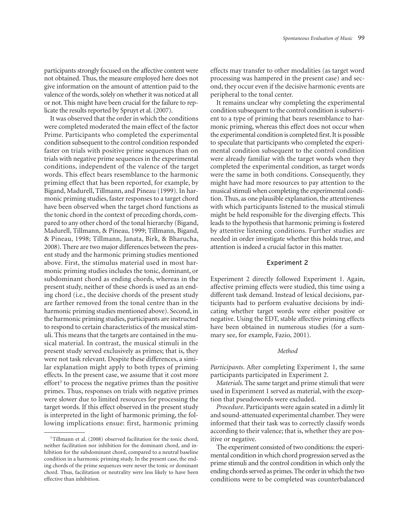participants strongly focused on the affective content were not obtained. Thus, the measure employed here does not give information on the amount of attention paid to the valence of the words, solely on whether it was noticed at all or not. This might have been crucial for the failure to replicate the results reported by Spruyt et al. (2007).

It was observed that the order in which the conditions were completed moderated the main effect of the factor Prime. Participants who completed the experimental condition subsequent to the control condition responded faster on trials with positive prime sequences than on trials with negative prime sequences in the experimental conditions, independent of the valence of the target words. This effect bears resemblance to the harmonic priming effect that has been reported, for example, by Bigand, Madurell, Tillmann, and Pineau (1999). In harmonic priming studies, faster responses to a target chord have been observed when the target chord functions as the tonic chord in the context of preceding chords, compared to any other chord of the tonal hierarchy (Bigand, Madurell, Tillmann, & Pineau, 1999; Tillmann, Bigand, & Pineau, 1998; Tillmann, Janata, Birk, & Bharucha, 2008). There are two major differences between the present study and the harmonic priming studies mentioned above. First, the stimulus material used in most harmonic priming studies includes the tonic, dominant, or subdominant chord as ending chords, whereas in the present study, neither of these chords is used as an ending chord (i.e., the decisive chords of the present study are farther removed from the tonal centre than in the harmonic priming studies mentioned above). Second, in the harmonic priming studies, participants are instructed to respond to certain characteristics of the musical stimuli. This means that the targets are contained in the musical material. In contrast, the musical stimuli in the present study served exclusively as primes; that is, they were not task relevant. Despite these differences, a similar explanation might apply to both types of priming effects. In the present case, we assume that it cost more effort<sup>3</sup> to process the negative primes than the positive primes. Thus, responses on trials with negative primes were slower due to limited resources for processing the target words. If this effect observed in the present study is interpreted in the light of harmonic priming, the following implications ensue: first, harmonic priming

effects may transfer to other modalities (as target word processing was hampered in the present case) and second, they occur even if the decisive harmonic events are peripheral to the tonal center.

It remains unclear why completing the experimental condition subsequent to the control condition is subservient to a type of priming that bears resemblance to harmonic priming, whereas this effect does not occur when the experimental condition is completed first. It is possible to speculate that participants who completed the experimental condition subsequent to the control condition were already familiar with the target words when they completed the experimental condition, as target words were the same in both conditions. Consequently, they might have had more resources to pay attention to the musical stimuli when completing the experimental condition. Thus, as one plausible explanation, the attentiveness with which participants listened to the musical stimuli might be held responsible for the diverging effects. This leads to the hypothesis that harmonic priming is fostered by attentive listening conditions. Further studies are needed in order investigate whether this holds true, and attention is indeed a crucial factor in this matter.

#### Experiment 2

Experiment 2 directly followed Experiment 1. Again, affective priming effects were studied, this time using a different task demand. Instead of lexical decisions, participants had to perform evaluative decisions by indicating whether target words were either positive or negative. Using the EDT, stable affective priming effects have been obtained in numerous studies (for a summary see, for example, Fazio, 2001).

# *Method*

*Participants*. After completing Experiment 1, the same participants participated in Experiment 2.

*Materials*. The same target and prime stimuli that were used in Experiment 1 served as material, with the exception that pseudowords were excluded.

*Procedure*. Participants were again seated in a dimly lit and sound-attenuated experimental chamber. They were informed that their task was to correctly classify words according to their valence; that is, whether they are positive or negative.

The experiment consisted of two conditions: the experimental condition in which chord progression served as the prime stimuli and the control condition in which only the ending chords served as primes. The order in which the two conditions were to be completed was counterbalanced

<sup>&</sup>lt;sup>3</sup>Tillmann et al. (2008) observed facilitation for the tonic chord, neither facilitation nor inhibition for the dominant chord, and inhibition for the subdominant chord, compared to a neutral baseline condition in a harmonic priming study. In the present case, the ending chords of the prime sequences were never the tonic or dominant chord. Thus, facilitation or neutrality were less likely to have been effective than inhibition.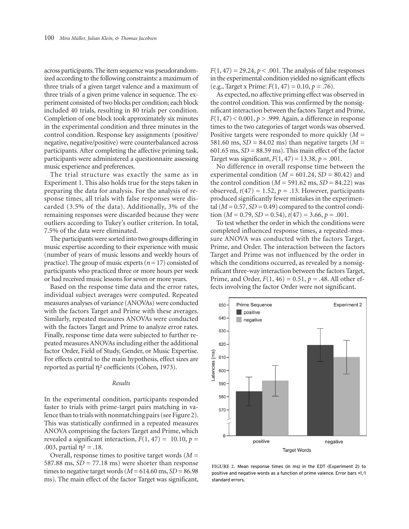across participants. The item sequence was pseudorandomized according to the following constraints: a maximum of three trials of a given target valence and a maximum of three trials of a given prime valence in sequence. The experiment consisted of two blocks per condition; each block included 40 trials, resulting in 80 trials per condition. Completion of one block took approximately six minutes in the experimental condition and three minutes in the control condition. Response key assignments (positive/ negative, negative/positive) were counterbalanced across participants. After completing the affective priming task, participants were administered a questionnaire assessing music experience and preferences.

The trial structure was exactly the same as in Experiment 1. This also holds true for the steps taken in preparing the data for analysis. For the analysis of response times, all trials with false responses were discarded (3.5% of the data). Additionally, 3% of the remaining responses were discarded because they were outliers according to Tukey's outlier criterion. In total, 7.5% of the data were eliminated.

The participants were sorted into two groups differing in music expertise according to their experience with music (number of years of music lessons and weekly hours of practice). The group of music experts (*n* = 17) consisted of participants who practiced three or more hours per week or had received music lessons for seven or more years.

Based on the response time data and the error rates, individual subject averages were computed. Repeated measures analyses of variance (ANOVAs) were conducted with the factors Target and Prime with these averages. Similarly, repeated measures ANOVAs were conducted with the factors Target and Prime to analyze error rates. Finally, response time data were subjected to further repeated measures ANOVAs including either the additional factor Order, Field of Study, Gender, or Music Expertise. For effects central to the main hypothesis, effect sizes are reported as partial η² coefficients (Cohen, 1973).

## *Results*

In the experimental condition, participants responded faster to trials with prime-target pairs matching in valence than to trials with nonmatching pairs (see Figure 2). This was statistically confirmed in a repeated measures ANOVA comprising the factors Target and Prime, which revealed a significant interaction,  $F(1, 47) = 10.10$ ,  $p =$ .003, partial  $η<sup>2</sup> = .18$ .

Overall, response times to positive target words (*M* = 587.88 ms,  $SD = 77.18$  ms) were shorter than response times to negative target words  $(M = 614.60 \text{ ms}, SD = 86.98)$ ms). The main effect of the factor Target was significant,  $F(1, 47) = 29.24$ ,  $p < .001$ . The analysis of false responses in the experimental condition yielded no significant effects (e.g., Target x Prime:  $F(1, 47) = 0.10, p = .76$ ).

As expected, no affective priming effect was observed in the control condition. This was confirmed by the nonsignificant interaction between the factors Target and Prime, *F*(1, 47)< 0.001, *p* > .999. Again, a difference in response times to the two categories of target words was observed. Positive targets were responded to more quickly (*M* = 581.60 ms,  $SD = 84.02$  ms) than negative targets ( $M =$  $601.65$  ms,  $SD = 88.59$  ms). This main effect of the factor Target was significant,  $F(1, 47) = 13.38, p = .001$ .

No difference in overall response time between the experimental condition  $(M = 601.24, SD = 80.42)$  and the control condition ( $M = 591.62$  ms,  $SD = 84.22$ ) was observed,  $t(47) = 1.52$ ,  $p = .13$ . However, participants produced significantly fewer mistakes in the experimental  $(M = 0.57, SD = 0.49)$  compared to the control condition  $(M = 0.79, SD = 0.54), t(47) = 3.66, p = .001.$ 

To test whether the order in which the conditions were completed influenced response times, a repeated-measure ANOVA was conducted with the factors Target, Prime, and Order. The interaction between the factors Target and Prime was not influenced by the order in which the conditions occurred, as revealed by a nonsignificant three-way interaction between the factors Target, Prime, and Order,  $F(1, 46) = 0.51$ ,  $p = .48$ . All other effects involving the factor Order were not significant.



**FIGURE 2.** Mean response times (in ms) in the EDT (Experiment 2) to positive and negative words as a function of prime valence. Error bars +1,-1 standard errors.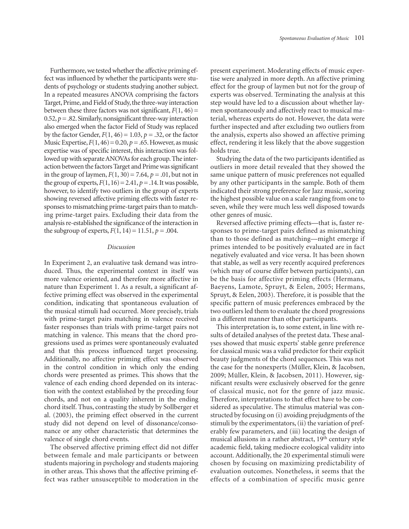Furthermore, we tested whether the affective priming effect was influenced by whether the participants were students of psychology or students studying another subject. In a repeated measures ANOVA comprising the factors Target, Prime, and Field of Study, the three-way interaction between these three factors was not significant,  $F(1, 46)$  = 0.52,  $p = 0.82$ . Similarly, nonsignificant three-way interaction also emerged when the factor Field of Study was replaced by the factor Gender,  $F(1, 46) = 1.03$ ,  $p = .32$ , or the factor Music Expertise,  $F(1, 46) = 0.20$ ,  $p = .65$ . However, as music expertise was of specific interest, this interaction was followed up with separate ANOVAs for each group. The interaction between the factors Target and Prime was significant in the group of laymen,  $F(1, 30) = 7.64$ ,  $p = .01$ , but not in the group of experts,  $F(1, 16) = 2.41$ ,  $p = .14$ . It was possible, however, to identify two outliers in the group of experts showing reversed affective priming effects with faster responses to mismatching prime-target pairs than to matching prime-target pairs. Excluding their data from the analysis re-established the significance of the interaction in the subgroup of experts,  $F(1, 14) = 11.51$ ,  $p = .004$ .

#### *Discussion*

In Experiment 2, an evaluative task demand was introduced. Thus, the experimental context in itself was more valence oriented, and therefore more affective in nature than Experiment 1. As a result, a significant affective priming effect was observed in the experimental condition, indicating that spontaneous evaluation of the musical stimuli had occurred. More precisely, trials with prime-target pairs matching in valence received faster responses than trials with prime-target pairs not matching in valence. This means that the chord progressions used as primes were spontaneously evaluated and that this process influenced target processing. Additionally, no affective priming effect was observed in the control condition in which only the ending chords were presented as primes. This shows that the valence of each ending chord depended on its interaction with the context established by the preceding four chords, and not on a quality inherent in the ending chord itself. Thus, contrasting the study by Sollberger et al. (2003), the priming effect observed in the current study did not depend on level of dissonance/consonance or any other characteristic that determines the valence of single chord events.

The observed affective priming effect did not differ between female and male participants or between students majoring in psychology and students majoring in other areas. This shows that the affective priming effect was rather unsusceptible to moderation in the

present experiment. Moderating effects of music expertise were analyzed in more depth. An affective priming effect for the group of laymen but not for the group of experts was observed. Terminating the analysis at this step would have led to a discussion about whether laymen spontaneously and affectively react to musical material, whereas experts do not. However, the data were further inspected and after excluding two outliers from the analysis, experts also showed an affective priming effect, rendering it less likely that the above suggestion holds true.

Studying the data of the two participants identified as outliers in more detail revealed that they showed the same unique pattern of music preferences not equalled by any other participants in the sample. Both of them indicated their strong preference for Jazz music, scoring the highest possible value on a scale ranging from one to seven, while they were much less well disposed towards other genres of music.

Reversed affective priming effects—that is, faster responses to prime-target pairs defined as mismatching than to those defined as matching—might emerge if primes intended to be positively evaluated are in fact negatively evaluated and vice versa. It has been shown that stable, as well as very recently acquired preferences (which may of course differ between participants), can be the basis for affective priming effects (Hermans, Baeyens, Lamote, Spruyt, & Eelen, 2005; Hermans, Spruyt, & Eelen, 2003). Therefore, it is possible that the specific pattern of music preferences embraced by the two outliers led them to evaluate the chord progressions in a different manner than other participants.

This interpretation is, to some extent, in line with results of detailed analyses of the pretest data. These analyses showed that music experts' stable genre preference for classical music was a valid predictor for their explicit beauty judgments of the chord sequences. This was not the case for the nonexperts (Müller, Klein, & Jacobsen, 2009; Müller, Klein, & Jacobsen, 2011). However, significant results were exclusively observed for the genre of classical music, not for the genre of jazz music. Therefore, interpretations to that effect have to be considered as speculative. The stimulus material was constructed by focusing on (i) avoiding prejudgments of the stimuli by the experimentators, (ii) the variation of preferably few parameters, and (iii) locating the design of musical allusions in a rather abstract, 19<sup>th</sup> century style academic field, taking mediocre ecological validity into account. Additionally, the 20 experimental stimuli were chosen by focusing on maximizing predictability of evaluation outcomes. Nonetheless, it seems that the effects of a combination of specific music genre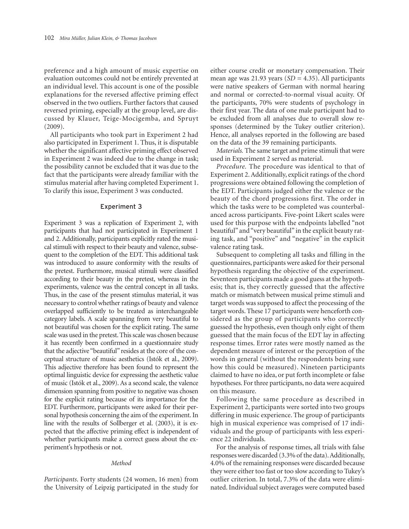preference and a high amount of music expertise on evaluation outcomes could not be entirely prevented at an individual level. This account is one of the possible explanations for the reversed affective priming effect observed in the two outliers. Further factors that caused reversed priming, especially at the group level, are discussed by Klauer, Teige-Mocigemba, and Spruyt (2009).

All participants who took part in Experiment 2 had also participated in Experiment 1. Thus, it is disputable whether the significant affective priming effect observed in Experiment 2 was indeed due to the change in task; the possibility cannot be excluded that it was due to the fact that the participants were already familiar with the stimulus material after having completed Experiment 1. To clarify this issue, Experiment 3 was conducted.

#### Experiment 3

Experiment 3 was a replication of Experiment 2, with participants that had not participated in Experiment 1 and 2. Additionally, participants explicitly rated the musical stimuli with respect to their beauty and valence, subsequent to the completion of the EDT. This additional task was introduced to assure conformity with the results of the pretest. Furthermore, musical stimuli were classified according to their beauty in the pretest, whereas in the experiments, valence was the central concept in all tasks. Thus, in the case of the present stimulus material, it was necessary to control whether ratings of beauty and valence overlapped sufficiently to be treated as interchangeable category labels. A scale spanning from very beautiful to not beautiful was chosen for the explicit rating. The same scale was used in the pretest. This scale was chosen because it has recently been confirmed in a questionnaire study that the adjective "beautiful" resides at the core of the conceptual structure of music aesthetics (Istók et al., 2009). This adjective therefore has been found to represent the optimal linguistic device for expressing the aesthetic value of music (Istók et al., 2009). As a second scale, the valence dimension spanning from positive to negative was chosen for the explicit rating because of its importance for the EDT. Furthermore, participants were asked for their personal hypothesis concerning the aim of the experiment. In line with the results of Sollberger et al. (2003), it is expected that the affective priming effect is independent of whether participants make a correct guess about the experiment's hypothesis or not.

#### *Method*

*Participants*. Forty students (24 women, 16 men) from the University of Leipzig participated in the study for either course credit or monetary compensation. Their mean age was 21.93 years (*SD* = 4.35). All participants were native speakers of German with normal hearing and normal or corrected-to-normal visual acuity. Of the participants, 70% were students of psychology in their first year. The data of one male participant had to be excluded from all analyses due to overall slow responses (determined by the Tukey outlier criterion). Hence, all analyses reported in the following are based on the data of the 39 remaining participants.

*Materials.* The same target and prime stimuli that were used in Experiment 2 served as material.

*Procedure.* The procedure was identical to that of Experiment 2. Additionally, explicit ratings of the chord progressions were obtained following the completion of the EDT. Participants judged either the valence or the beauty of the chord progressions first. The order in which the tasks were to be completed was counterbalanced across participants. Five-point Likert scales were used for this purpose with the endpoints labelled "not beautiful" and "very beautiful" in the explicit beauty rating task, and "positive" and "negative" in the explicit valence rating task.

Subsequent to completing all tasks and filling in the questionnaires, participants were asked for their personal hypothesis regarding the objective of the experiment. Seventeen participants made a good guess at the hypothesis; that is, they correctly guessed that the affective match or mismatch between musical prime stimuli and target words was supposed to affect the processing of the target words. These 17 participants were henceforth considered as the group of participants who correctly guessed the hypothesis, even though only eight of them guessed that the main focus of the EDT lay in affecting response times. Error rates were mostly named as the dependent measure of interest or the perception of the words in general (without the respondents being sure how this could be measured). Nineteen participants claimed to have no idea, or put forth incomplete or false hypotheses. For three participants, no data were acquired on this measure.

Following the same procedure as described in Experiment 2, participants were sorted into two groups differing in music experience. The group of participants high in musical experience was comprised of 17 individuals and the group of participants with less experience 22 individuals.

For the analysis of response times, all trials with false responses were discarded (3.3% of the data). Additionally, 4.0% of the remaining responses were discarded because they were either too fast or too slow according to Tukey's outlier criterion. In total, 7.3% of the data were eliminated. Individual subject averages were computed based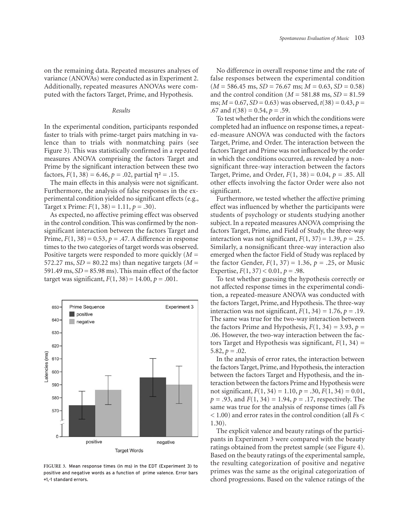variance (ANOVAs) were conducted as in Experiment 2. Additionally, repeated measures ANOVAs were computed with the factors Target, Prime, and Hypothesis.

#### *Results*

In the experimental condition, participants responded faster to trials with prime-target pairs matching in valence than to trials with nonmatching pairs (see Figure 3). This was statistically confirmed in a repeated measures ANOVA comprising the factors Target and Prime by the significant interaction between these two factors,  $F(1, 38) = 6.46$ ,  $p = .02$ , partial  $\eta^2 = .15$ .

The main effects in this analysis were not significant. Furthermore, the analysis of false responses in the experimental condition yielded no significant effects (e.g., Target x Prime:  $F(1, 38) = 1.11$ ,  $p = .30$ ).

As expected, no affective priming effect was observed in the control condition. This was confirmed by the nonsignificant interaction between the factors Target and Prime,  $F(1, 38) = 0.53$ ,  $p = .47$ . A difference in response times to the two categories of target words was observed. Positive targets were responded to more quickly (*M* = 572.27 ms,  $SD = 80.22$  ms) than negative targets ( $M =$ 591.49 ms,  $SD = 85.98$  ms). This main effect of the factor target was significant,  $F(1, 38) = 14.00, p = .001$ .



**FIGURE 3.** Mean response times (in ms) in the EDT (Experiment 3) to positive and negative words as a function of prime valence. Error bars +1,-1 standard errors.

No difference in overall response time and the rate of false responses between the experimental condition  $(M = 586.45 \text{ ms}, SD = 76.67 \text{ ms}; M = 0.63, SD = 0.58)$ and the control condition ( $M = 581.88$  ms,  $SD = 81.59$ ) ms; *M* = 0.67, *SD* = 0.63) was observed, *t*(38) = 0.43, *p* = .67 and *t*(38) = 0.54, *p* = .59.

To test whether the order in which the conditions were completed had an influence on response times, a repeated-measure ANOVA was conducted with the factors Target, Prime, and Order. The interaction between the factors Target and Prime was not influenced by the order in which the conditions occurred, as revealed by a nonsignificant three-way interaction between the factors Target, Prime, and Order, *F*(1, 38) = 0.04, *p* = .85. All other effects involving the factor Order were also not significant.

Furthermore, we tested whether the affective priming effect was influenced by whether the participants were students of psychology or students studying another subject. In a repeated measures ANOVA comprising the factors Target, Prime, and Field of Study, the three-way interaction was not significant,  $F(1, 37) = 1.39$ ,  $p = .25$ . Similarly, a nonsignificant three-way interaction also emerged when the factor Field of Study was replaced by the factor Gender,  $F(1, 37) = 1.36$ ,  $p = .25$ , or Music Expertise,  $F(1, 37) < 0.01$ ,  $p = .98$ .

To test whether guessing the hypothesis correctly or not affected response times in the experimental condition, a repeated-measure ANOVA was conducted with the factors Target, Prime, and Hypothesis. The three-way interaction was not significant,  $F(1, 34) = 1.76$ ,  $p = .19$ . The same was true for the two-way interaction between the factors Prime and Hypothesis,  $F(1, 34) = 3.93$ ,  $p =$ .06. However, the two-way interaction between the factors Target and Hypothesis was significant,  $F(1, 34) =$  $5.82, p = .02.$ 

In the analysis of error rates, the interaction between the factors Target, Prime, and Hypothesis, the interaction between the factors Target and Hypothesis, and the interaction between the factors Prime and Hypothesis were not significant,  $F(1, 34) = 1.10$ ,  $p = .30$ ,  $F(1, 34) = 0.01$ , *p* = .93, and *F*(1, 34) = 1.94, *p* = .17, respectively. The same was true for the analysis of response times (all *F*s < 1.00) and error rates in the control condition (all *F*s < 1.30).

The explicit valence and beauty ratings of the participants in Experiment 3 were compared with the beauty ratings obtained from the pretest sample (see Figure 4). Based on the beauty ratings of the experimental sample, the resulting categorization of positive and negative primes was the same as the original categorization of chord progressions. Based on the valence ratings of the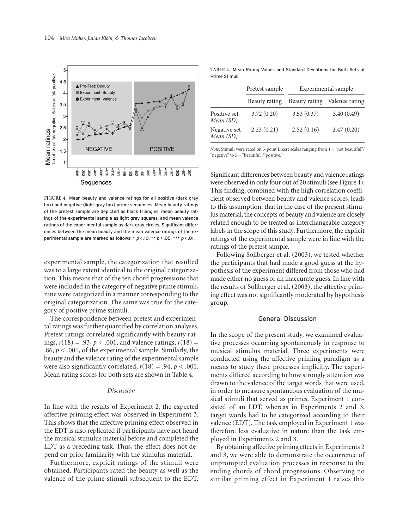

**FIGURE 4.** Mean beauty and valence ratings for all positive (dark gray box) and negative (light gray box) prime sequences. Mean beauty ratings of the pretest sample are depicted as black triangles, mean beauty ratings of the experimental sample as light gray squares, and mean valence ratings of the experimental sample as dark gray circles. Significant differences between the mean beauty and the mean valence ratings of the experimental sample are marked as follows: \*  $p$  < .10, \*\*  $p$  < .05, \*\*\*  $p$  < .01.

experimental sample, the categorization that resulted was to a large extent identical to the original categorization. This means that of the ten chord progressions that were included in the category of negative prime stimuli, nine were categorized in a manner corresponding to the original categorization. The same was true for the category of positive prime stimuli.

The correspondence between pretest and experimental ratings was further quantified by correlation analyses. Pretest ratings correlated significantly with beauty ratings,  $r(18) = .93$ ,  $p < .001$ , and valence ratings,  $r(18) =$ .86,  $p < .001$ , of the experimental sample. Similarly, the beauty and the valence rating of the experimental sample were also significantly correlated,  $r(18) = .94$ ,  $p < .001$ . Mean rating scores for both sets are shown in Table 4.

#### *Discussion*

In line with the results of Experiment 2, the expected affective priming effect was observed in Experiment 3. This shows that the affective priming effect observed in the EDT is also replicated if participants have not heard the musical stimulus material before and completed the LDT as a preceding task. Thus, the effect does not depend on prior familiarity with the stimulus material.

Furthermore, explicit ratings of the stimuli were obtained. Participants rated the beauty as well as the valence of the prime stimuli subsequent to the EDT.

**TABLE 4.** Mean Rating Values and Standard Deviations for Both Sets of Prime Stimuli.

|                           | Pretest sample | Experimental sample |                |  |  |
|---------------------------|----------------|---------------------|----------------|--|--|
|                           | Beauty rating  | Beauty rating       | Valence rating |  |  |
| Positive set<br>Mean (SD) | 3.72(0.20)     | 3.53(0.37)          | 3.40(0.49)     |  |  |
| Negative set<br>Mean (SD) | 2.23(0.21)     | 2.52(0.16)          | 2.47(0.20)     |  |  |

*Note*: Stimuli were rated on 5-point Likert scales ranging from 1 = "not beautiful"/ "negative" to 5 = "beautiful"/"positive."

Significant differences between beauty and valence ratings were observed in only four out of 20 stimuli (see Figure 4). This finding, combined with the high correlation coefficient observed between beauty and valence scores, leads to this assumption: that in the case of the present stimulus material, the concepts of beauty and valence are closely related enough to be treated as interchangeable category labels in the scope of this study. Furthermore, the explicit ratings of the experimental sample were in line with the ratings of the pretest sample.

Following Sollberger et al. (2003), we tested whether the participants that had made a good guess at the hypothesis of the experiment differed from those who had made either no guess or an inaccurate guess. In line with the results of Sollberger et al. (2003), the affective priming effect was not significantly moderated by hypothesis group.

# General Discussion

In the scope of the present study, we examined evaluative processes occurring spontaneously in response to musical stimulus material. Three experiments were conducted using the affective priming paradigm as a means to study these processes implicitly. The experiments differed according to how strongly attention was drawn to the valence of the target words that were used, in order to measure spontaneous evaluation of the musical stimuli that served as primes. Experiment 1 consisted of an LDT, whereas in Experiments 2 and 3, target words had to be categorized according to their valence (EDT). The task employed in Experiment 1 was therefore less evaluative in nature than the task employed in Experiments 2 and 3.

By obtaining affective priming effects in Experiments 2 and 3, we were able to demonstrate the occurrence of unprompted evaluation processes in response to the ending chords of chord progressions. Observing no similar priming effect in Experiment 1 raises this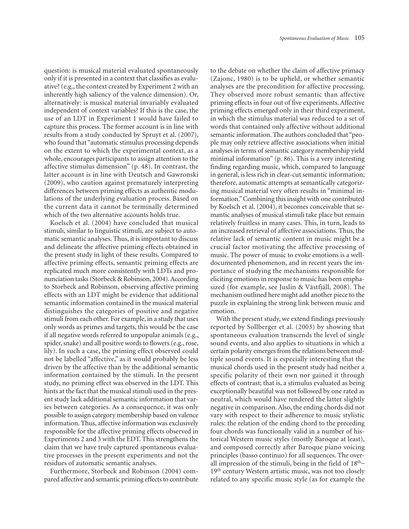question: is musical material evaluated spontaneously only if it is presented in a context that classifies as evaluative? (e.g., the context created by Experiment 2 with an inherently high saliency of the valence dimension). Or, alternatively: is musical material invariably evaluated independent of context variables? If this is the case, the use of an LDT in Experiment 1 would have failed to capture this process. The former account is in line with results from a study conducted by Spruyt et al. (2007), who found that "automatic stimulus processing depends on the extent to which the experimental context, as a whole, encourages participants to assign attention to the affective stimulus dimension" (p. 48). In contrast, the latter account is in line with Deutsch and Gawronski (2009), who caution against prematurely interpreting differences between priming effects as authentic modulations of the underlying evaluation process. Based on the current data it cannot be terminally determined which of the two alternative accounts holds true.

Koelsch et al. (2004) have concluded that musical stimuli, similar to linguistic stimuli, are subject to automatic semantic analyses. Thus, it is important to discuss and delineate the affective priming effects obtained in the present study in light of these results. Compared to affective priming effects, semantic priming effects are replicated much more consistently with LDTs and pronunciation tasks (Storbeck & Robinson, 2004). According to Storbeck and Robinson, observing affective priming effects with an LDT might be evidence that additional semantic information contained in the musical material distinguishes the categories of positive and negative stimuli from each other. For example, in a study that uses only words as primes and targets, this would be the case if all negative words referred to unpopular animals (e.g., spider, snake) and all positive words to flowers (e.g., rose, lily). In such a case, the priming effect observed could not be labelled "affective," as it would probably be less driven by the affective than by the additional semantic information contained by the stimuli. In the present study, no priming effect was observed in the LDT. This hints at the fact that the musical stimuli used in the present study lack additional semantic information that varies between categories. As a consequence, it was only possible to assign category membership based on valence information. Thus, affective information was exclusively responsible for the affective priming effects observed in Experiments 2 and 3 with the EDT. This strengthens the claim that we have truly captured spontaneous evaluative processes in the present experiments and not the residues of automatic semantic analyses.

Furthermore, Storbeck and Robinson (2004) compared affective and semantic priming effects to contribute to the debate on whether the claim of affective primacy (Zajonc, 1980) is to be upheld, or whether semantic analyses are the precondition for affective processing. They observed more robust semantic than affective priming effects in four out of five experiments. Affective priming effects emerged only in their third experiment, in which the stimulus material was reduced to a set of words that contained only affective without additional semantic information. The authors concluded that "people may only retrieve affective associations when initial analyses in terms of semantic category membership yield minimal information" (p. 86). This is a very interesting finding regarding music, which, compared to language in general, is less rich in clear-cut semantic information; therefore, automatic attempts at semantically categorizing musical material very often results in "minimal information." Combining this insight with one contributed by Koelsch et al. (2004), it becomes conceivable that semantic analyses of musical stimuli take place but remain relatively fruitless in many cases. This, in turn, leads to an increased retrieval of affective associations. Thus, the relative lack of semantic content in music might be a crucial factor motivating the affective processing of music. The power of music to evoke emotions is a welldocumented phenomenon, and in recent years the importance of studying the mechanisms responsible for eliciting emotions in response to music has been emphasized (for example, see Juslin & Västfjäll, 2008). The mechanism outlined here might add another piece to the puzzle in explaining the strong link between music and emotion.

With the present study, we extend findings previously reported by Sollberger et al. (2003) by showing that spontaneous evaluation transcends the level of single sound events, and also applies to situations in which a certain polarity emerges from the relations between multiple sound events. It is especially interesting that the musical chords used in the present study had neither a specific polarity of their own nor gained it through effects of contrast; that is, a stimulus evaluated as being exceptionally beautiful was not followed by one rated as neutral, which would have rendered the latter slightly negative in comparison. Also, the ending chords did not vary with respect to their adherence to music stylistic rules: the relation of the ending chord to the preceding four chords was functionally valid in a number of historical Western music styles (mostly Baroque at least), and composed correctly after Baroque piano voicing principles (basso continuo) for all sequences. The overall impression of the stimuli, being in the field of  $18<sup>th</sup>$ -19th century Western artistic music, was not too closely related to any specific music style (as for example the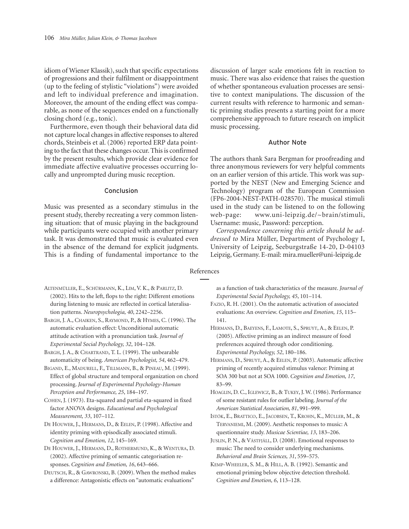idiom of Wiener Klassik), such that specific expectations of progressions and their fulfilment or disappointment (up to the feeling of stylistic "violations") were avoided and left to individual preference and imagination. Moreover, the amount of the ending effect was comparable, as none of the sequences ended on a functionally closing chord (e.g., tonic).

Furthermore, even though their behavioral data did not capture local changes in affective responses to altered chords, Steinbeis et al. (2006) reported ERP data pointing to the fact that these changes occur. This is confirmed by the present results, which provide clear evidence for immediate affective evaluative processes occurring locally and unprompted during music reception.

## Conclusion

Music was presented as a secondary stimulus in the present study, thereby recreating a very common listening situation: that of music playing in the background while participants were occupied with another primary task. It was demonstrated that music is evaluated even in the absence of the demand for explicit judgments. This is a finding of fundamental importance to the

discussion of larger scale emotions felt in reaction to music. There was also evidence that raises the question of whether spontaneous evaluation processes are sensitive to context manipulations. The discussion of the current results with reference to harmonic and semantic priming studies presents a starting point for a more comprehensive approach to future research on implicit music processing.

## Author Note

The authors thank Sara Bergman for proofreading and three anonymous reviewers for very helpful comments on an earlier version of this article. This work was supported by the NEST (New and Emerging Science and Technology) program of the European Commission (FP6-2004-NEST-PATH-028570). The musical stimuli used in the study can be listened to on the following web-page: www.uni-leipzig.de/~brain/stimuli, Username: music, Password: perception.

*Correspondence concerning this article should be addressed to* Mira Müller, Department of Psychology I, University of Leipzig, Seeburgstraße 14-20, D-04103 Leipzig, Germany. E-mail: mira.mueller@uni-leipzig.de

# References

- Altenmüller, E., Schürmann, K., Lim, V. K., & Parlitz, D. (2002). Hits to the left, flops to the right: Different emotions during listening to music are reflected in cortical lateralisation patterns. *Neuropsychologia, 40*, 2242–2256.
- Bargh, J. A., Chaiken, S., Raymond, P., & Hymes, C. (1996). The automatic evaluation effect: Unconditional automatic attitude activation with a pronunciation task. *Journal of Experimental Social Psychology, 32*, 104–128.
- BARGH, J. A., & CHARTRAND, T. L. (1999). The unbearable automaticity of being. *American Psychologist, 54*, 462–479.
- Bigand, E., Madurell, F., Tillmann, B., & Pineau, M. (1999). Effect of global structure and temporal organization on chord processing. *Journal of Experimental Psychology-Human Perception and Performance, 25*, 184–197.
- Cohen, J. (1973). Eta-squared and partial eta-squared in fixed factor ANOVA designs. *Educational and Psychological Measurement, 33*, 107–112.
- De Houwer, J., Hermans, D., & Eelen, P. (1998). Affective and identity priming with episodically associated stimuli. *Cognition and Emotion, 12*, 145–169.
- De Houwer, J., Hermans, D., Rothermund, K., & Wentura, D. (2002). Affective priming of semantic categorisation responses. *Cognition and Emotion, 16*, 643–666.
- Deutsch, R., & Gawronski, B. (2009). When the method makes a difference: Antagonistic effects on "automatic evaluations"

as a function of task characteristics of the measure. *Journal of Experimental Social Psychology, 45*, 101–114.

- Fazio, R. H. (2001). On the automatic activation of associated evaluations: An overview. *Cognition and Emotion, 15*, 115– 141.
- Hermans, D., Baeyens, F., Lamote, S., Spruyt, A., & Eelen, P. (2005). Affective priming as an indirect measure of food preferences acquired through odor conditioning. *Experimental Psychology, 52*, 180–186.
- Hermans, D., Spruyt, A., & Eelen, P. (2003). Automatic affective priming of recently acquired stimulus valence: Priming at SOA 300 but not at SOA 1000. *Cognition and Emotion, 17*, 83–99.
- Hoaglin, D. C., Iglewicz, B., & Tukey, J. W. (1986). Performance of some resistant rules for outlier labeling. *Journal of the American Statistical Association, 81*, 991–999.
- Istók, E., Brattico, E., Jacobsen, T., Krohn, K., Müller, M., & Tervaniemi, M. (2009). Aesthetic responses to music: A questionnaire study. *Musicae Scientiae, 13*, 183–206.
- Juslin, P. N., & Västfjäll, D. (2008). Emotional responses to music: The need to consider underlying mechanisms. *Behavioral and Brain Sciences, 31*, 559–575.
- Kemp-Wheeler, S. M., & Hill, A. B. (1992). Semantic and emotional priming below objective detection threshold. *Cognition and Emotion, 6*, 113–128.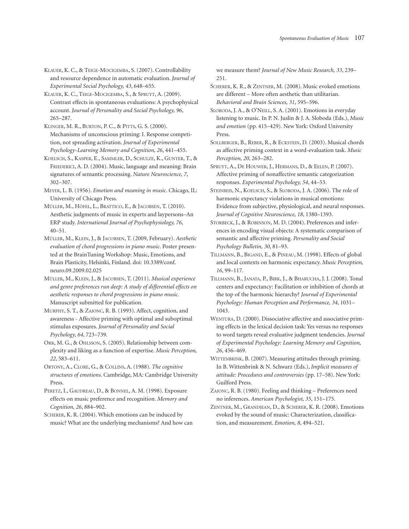Klauer, K. C., & Teige-Mocigemba, S. (2007). Controllability and resource dependence in automatic evaluation. *Journal of Experimental Social Psychology, 43*, 648–655.

Klauer, K. C., Teige-Mocigemba, S., & Spruyt, A. (2009). Contrast effects in spontaneous evaluations: A psychophysical account. *Journal of Personality and Social Psychology, 96*, 265–287.

Klinger, M. R., Burton, P. C., & Pitts, G. S. (2000). Mechanisms of unconscious priming: I. Response competition, not spreading activation. *Journal of Experimental Psychology-Learning Memory and Cognition, 26*, 441–455.

Koelsch, S., Kasper, E., Sammler, D., Schulze, K., Gunter, T., & FRIEDERICI, A. D. (2004). Music, language and meaning: Brain signatures of semantic processing. *Nature Neuroscience, 7*, 302–307.

Meyer, L. B. (1956). *Emotion and meaning in music*. Chicago, IL: University of Chicago Press.

Müller, M., Höfel, L., Brattico, E., & Jacobsen, T. (2010). Aesthetic judgments of music in experts and laypersons–An ERP study. *International Journal of Psychophysiology, 76*, 40–51.

Müller, M., Klein, J., & Jacobsen, T. (2009, February). *Aesthetic evaluation of chord progressions in piano music*. Poster presented at the BrainTuning Workshop: Music, Emotions, and Brain Plasticity, Helsinki, Finland. doi: 10.3389/conf. neuro.09.2009.02.025

Müller, M., Klein, J., & Jacobsen, T. (2011). *Musical experience and genre preferences run deep: A study of differential effects on aesthetic responses to chord progressions in piano music*. Manuscript submitted for publication.

Murphy, S. T., & Zajonc, R. B. (1993). Affect, cognition, and awareness - Affective priming with optimal and suboptimal stimulus exposures. *Journal of Personality and Social Psychology, 64*, 723–739.

Orr, M. G., & Ohlsson, S. (2005). Relationship between complexity and liking as a function of expertise. *Music Perception, 22*, 583–611.

Ortony, A., Clore, G., & Collins, A. (1988). *The cognitive structures of emotions*. Cambridge, MA: Cambridge University Press.

PERETZ, I., GAUDREAU, D., & BONNEL, A. M. (1998). Exposure effects on music preference and recognition. *Memory and Cognition, 26*, 884–902.

SCHERER, K. R. (2004). Which emotions can be induced by music? What are the underlying mechanisms? And how can we measure them? *Journal of New Music Research, 33*, 239– 251.

SCHERER, K. R., & ZENTNER, M. (2008). Music evoked emotions are different – More often aesthetic than utilitarian. *Behavioral and Brain Sciences, 31*, 595–596.

Sloboda, J. A., & O'Neill, S. A. (2001). Emotions in everyday listening to music. In P. N. Juslin & J. A. Sloboda (Eds.), *Music and emotion* (pp. 415–429). New York: Oxford University Press.

Sollberger, B., Reber, R., & Eckstein, D. (2003). Musical chords as affective priming context in a word-evaluation task. *Music Perception, 20*, 263–282.

Spruyt, A., De Houwer, J., Hermans, D., & Eelen, P. (2007). Affective priming of nonaffective semantic categorization responses. *Experimental Psychology, 54*, 44–53.

STEINBEIS, N., KOELSCH, S., & SLOBODA, J. A. (2006). The role of harmonic expectancy violations in musical emotions: Evidence from subjective, physiological, and neural responses. *Journal of Cognitive Neuroscience, 18*, 1380–1393.

STORBECK, J., & ROBINSON, M. D. (2004). Preferences and inferences in encoding visual objects: A systematic comparison of semantic and affective priming. *Personality and Social Psychology Bulletin, 30*, 81–93.

Tillmann, B., Bigand, E., & Pineau, M. (1998). Effects of global and local contexts on harmonic expectancy. *Music Perception, 16*, 99–117.

Tillmann, B., Janata, P., Birk, J., & Bharucha, J. J. (2008). Tonal centers and expectancy: Facilitation or inhibition of chords at the top of the harmonic hierarchy? *Journal of Experimental Psychology: Human Perception and Performance, 34*, 1031– 1043.

WENTURA, D. (2000). Dissociative affective and associative priming effects in the lexical decision task: Yes versus no responses to word targets reveal evaluative judgment tendencies. *Journal of Experimental Psychology: Learning Memory and Cognition, 26*, 456–469.

WITTENBRINK, B. (2007). Measuring attitudes through priming. In B. Wittenbrink & N. Schwarz (Eds.), *Implicit measures of attitude: Procedures and controversies* (pp. 17–58). New York: Guilford Press.

Zajonc, R. B. (1980). Feeling and thinking – Preferences need no inferences. *American Psychologist, 35*, 151–175.

Zentner, M., Grandjean, D., & Scherer, K. R. (2008). Emotions evoked by the sound of music: Characterization, classification, and measurement. *Emotion, 8*, 494–521.